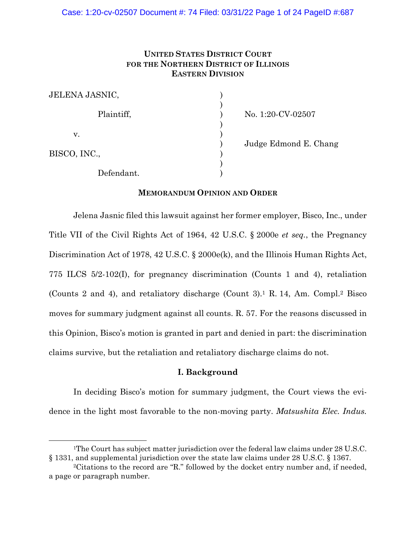## **UNITED STATES DISTRICT COURT FOR THE NORTHERN DISTRICT OF ILLINOIS EASTERN DIVISION**

| JELENA JASNIC, |  |
|----------------|--|
| Plaintiff,     |  |
| V.             |  |
| BISCO, INC.,   |  |
| Defendant.     |  |

) No. 1:20-CV-02507

)<br>) Judge Edmond E. Chang<br>)

## **MEMORANDUM OPINION AND ORDER**

Jelena Jasnic filed this lawsuit against her former employer, Bisco, Inc., under Title VII of the Civil Rights Act of 1964, 42 U.S.C. § 2000e *et seq.*, the Pregnancy Discrimination Act of 1978, 42 U.S.C. § 2000e(k), and the Illinois Human Rights Act, 775 ILCS 5/2-102(I), for pregnancy discrimination (Counts 1 and 4), retaliation (Counts 2 and 4), and retaliatory discharge (Count 3).1 R. 14, Am. Compl.2 Bisco moves for summary judgment against all counts. R. 57. For the reasons discussed in this Opinion, Bisco's motion is granted in part and denied in part: the discrimination claims survive, but the retaliation and retaliatory discharge claims do not.

## **I. Background**

In deciding Bisco's motion for summary judgment, the Court views the evidence in the light most favorable to the non-moving party. *Matsushita Elec. Indus.* 

<sup>&</sup>lt;sup>1</sup>The Court has subject matter jurisdiction over the federal law claims under 28 U.S.C. § 1331, and supplemental jurisdiction over the state law claims under 28 U.S.C. § 1367.

<sup>2</sup>Citations to the record are "R." followed by the docket entry number and, if needed, a page or paragraph number.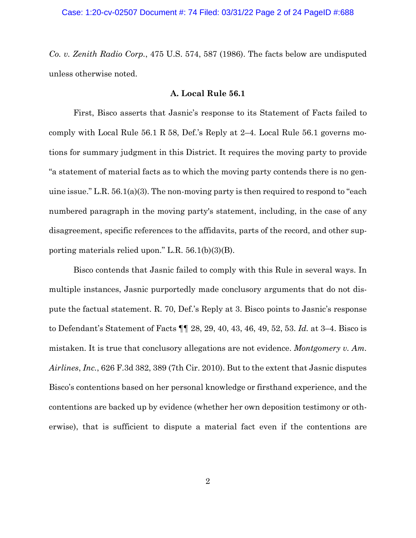*Co. v. Zenith Radio Corp.*, 475 U.S. 574, 587 (1986). The facts below are undisputed unless otherwise noted.

## **A. Local Rule 56.1**

First, Bisco asserts that Jasnic's response to its Statement of Facts failed to comply with Local Rule 56.1 R 58, Def.'s Reply at 2–4. Local Rule 56.1 governs motions for summary judgment in this District. It requires the moving party to provide "a statement of material facts as to which the moving party contends there is no genuine issue." L.R. 56.1(a)(3). The non-moving party is then required to respond to "each numbered paragraph in the moving party's statement, including, in the case of any disagreement, specific references to the affidavits, parts of the record, and other supporting materials relied upon." L.R. 56.1(b)(3)(B).

Bisco contends that Jasnic failed to comply with this Rule in several ways. In multiple instances, Jasnic purportedly made conclusory arguments that do not dispute the factual statement. R. 70, Def.'s Reply at 3. Bisco points to Jasnic's response to Defendant's Statement of Facts ¶¶ 28, 29, 40, 43, 46, 49, 52, 53. *Id.* at 3–4. Bisco is mistaken. It is true that conclusory allegations are not evidence. *Montgomery v. Am. Airlines*, *Inc.*, 626 F.3d 382, 389 (7th Cir. 2010). But to the extent that Jasnic disputes Bisco's contentions based on her personal knowledge or firsthand experience, and the contentions are backed up by evidence (whether her own deposition testimony or otherwise), that is sufficient to dispute a material fact even if the contentions are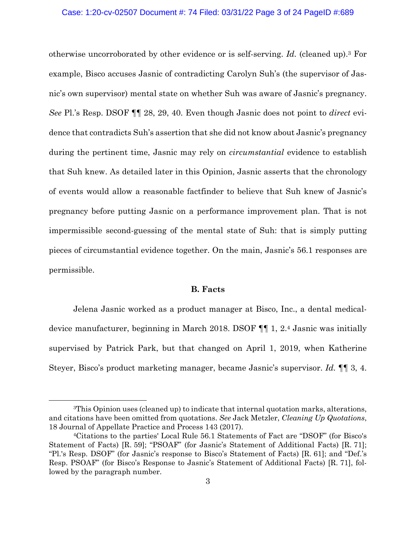## Case: 1:20-cv-02507 Document #: 74 Filed: 03/31/22 Page 3 of 24 PageID #:689

otherwise uncorroborated by other evidence or is self-serving. *Id.* (cleaned up).3 For example, Bisco accuses Jasnic of contradicting Carolyn Suh's (the supervisor of Jasnic's own supervisor) mental state on whether Suh was aware of Jasnic's pregnancy. *See* Pl.'s Resp. DSOF ¶¶ 28, 29, 40. Even though Jasnic does not point to *direct* evidence that contradicts Suh's assertion that she did not know about Jasnic's pregnancy during the pertinent time, Jasnic may rely on *circumstantial* evidence to establish that Suh knew. As detailed later in this Opinion, Jasnic asserts that the chronology of events would allow a reasonable factfinder to believe that Suh knew of Jasnic's pregnancy before putting Jasnic on a performance improvement plan. That is not impermissible second-guessing of the mental state of Suh: that is simply putting pieces of circumstantial evidence together. On the main, Jasnic's 56.1 responses are permissible.

## **B. Facts**

Jelena Jasnic worked as a product manager at Bisco, Inc., a dental medicaldevice manufacturer, beginning in March 2018. DSOF ¶¶ 1, 2.4 Jasnic was initially supervised by Patrick Park, but that changed on April 1, 2019, when Katherine Steyer, Bisco's product marketing manager, became Jasnic's supervisor. *Id.* ¶¶ 3, 4.

<sup>3</sup>This Opinion uses (cleaned up) to indicate that internal quotation marks, alterations, and citations have been omitted from quotations. *See* Jack Metzler, *Cleaning Up Quotations*, 18 Journal of Appellate Practice and Process 143 (2017).

<sup>4</sup>Citations to the parties' Local Rule 56.1 Statements of Fact are "DSOF" (for Bisco's Statement of Facts) [R. 59]; "PSOAF" (for Jasnic's Statement of Additional Facts) [R. 71]; "Pl.'s Resp. DSOF" (for Jasnic's response to Bisco's Statement of Facts) [R. 61]; and "Def.'s Resp. PSOAF" (for Bisco's Response to Jasnic's Statement of Additional Facts) [R. 71], followed by the paragraph number.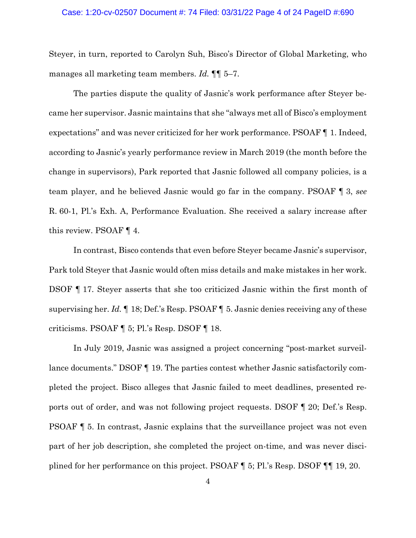### Case: 1:20-cv-02507 Document #: 74 Filed: 03/31/22 Page 4 of 24 PageID #:690

Steyer, in turn, reported to Carolyn Suh, Bisco's Director of Global Marketing, who manages all marketing team members. *Id.* ¶¶ 5–7.

The parties dispute the quality of Jasnic's work performance after Steyer became her supervisor. Jasnic maintains that she "always met all of Bisco's employment expectations" and was never criticized for her work performance. PSOAF ¶ 1. Indeed, according to Jasnic's yearly performance review in March 2019 (the month before the change in supervisors), Park reported that Jasnic followed all company policies, is a team player, and he believed Jasnic would go far in the company. PSOAF ¶ 3, *see* R. 60-1, Pl.'s Exh. A, Performance Evaluation. She received a salary increase after this review. PSOAF ¶ 4.

In contrast, Bisco contends that even before Steyer became Jasnic's supervisor, Park told Steyer that Jasnic would often miss details and make mistakes in her work. DSOF ¶ 17. Steyer asserts that she too criticized Jasnic within the first month of supervising her. *Id.* ¶ 18; Def.'s Resp. PSOAF ¶ 5. Jasnic denies receiving any of these criticisms. PSOAF ¶ 5; Pl.'s Resp. DSOF ¶ 18.

In July 2019, Jasnic was assigned a project concerning "post-market surveillance documents." DSOF ¶ 19. The parties contest whether Jasnic satisfactorily completed the project. Bisco alleges that Jasnic failed to meet deadlines, presented reports out of order, and was not following project requests. DSOF ¶ 20; Def.'s Resp. PSOAF ¶ 5. In contrast, Jasnic explains that the surveillance project was not even part of her job description, she completed the project on-time, and was never disciplined for her performance on this project. PSOAF ¶ 5; Pl.'s Resp. DSOF ¶¶ 19, 20.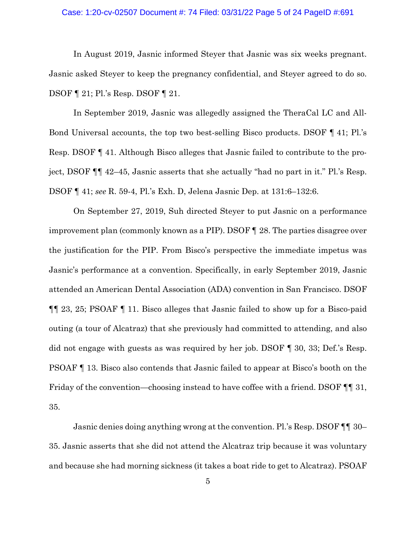## Case: 1:20-cv-02507 Document #: 74 Filed: 03/31/22 Page 5 of 24 PageID #:691

In August 2019, Jasnic informed Steyer that Jasnic was six weeks pregnant. Jasnic asked Steyer to keep the pregnancy confidential, and Steyer agreed to do so. DSOF ¶ 21; Pl.'s Resp. DSOF ¶ 21.

In September 2019, Jasnic was allegedly assigned the TheraCal LC and All-Bond Universal accounts, the top two best-selling Bisco products. DSOF ¶ 41; Pl.'s Resp. DSOF ¶ 41. Although Bisco alleges that Jasnic failed to contribute to the project, DSOF ¶¶ 42–45, Jasnic asserts that she actually "had no part in it." Pl.'s Resp. DSOF ¶ 41; *see* R. 59-4, Pl.'s Exh. D, Jelena Jasnic Dep. at 131:6–132:6.

On September 27, 2019, Suh directed Steyer to put Jasnic on a performance improvement plan (commonly known as a PIP). DSOF ¶ 28. The parties disagree over the justification for the PIP. From Bisco's perspective the immediate impetus was Jasnic's performance at a convention. Specifically, in early September 2019, Jasnic attended an American Dental Association (ADA) convention in San Francisco. DSOF ¶¶ 23, 25; PSOAF ¶ 11. Bisco alleges that Jasnic failed to show up for a Bisco-paid outing (a tour of Alcatraz) that she previously had committed to attending, and also did not engage with guests as was required by her job. DSOF ¶ 30, 33; Def.'s Resp. PSOAF ¶ 13. Bisco also contends that Jasnic failed to appear at Bisco's booth on the Friday of the convention—choosing instead to have coffee with a friend. DSOF  $\P$  31, 35.

Jasnic denies doing anything wrong at the convention. Pl.'s Resp. DSOF ¶¶ 30– 35. Jasnic asserts that she did not attend the Alcatraz trip because it was voluntary and because she had morning sickness (it takes a boat ride to get to Alcatraz). PSOAF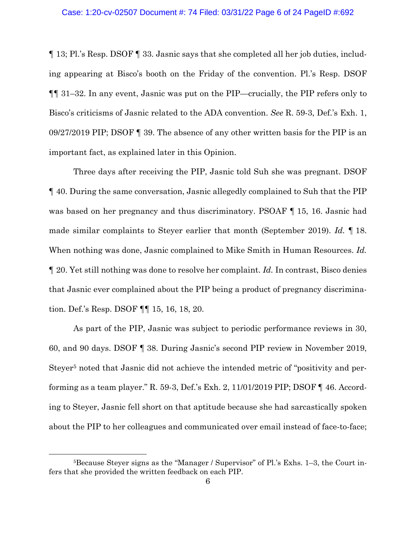¶ 13; Pl.'s Resp. DSOF ¶ 33. Jasnic says that she completed all her job duties, including appearing at Bisco's booth on the Friday of the convention. Pl.'s Resp. DSOF ¶¶ 31–32. In any event, Jasnic was put on the PIP—crucially, the PIP refers only to Bisco's criticisms of Jasnic related to the ADA convention. *See* R. 59-3, Def.'s Exh. 1, 09/27/2019 PIP; DSOF ¶ 39. The absence of any other written basis for the PIP is an important fact, as explained later in this Opinion.

Three days after receiving the PIP, Jasnic told Suh she was pregnant. DSOF ¶ 40. During the same conversation, Jasnic allegedly complained to Suh that the PIP was based on her pregnancy and thus discriminatory. PSOAF ¶ 15, 16. Jasnic had made similar complaints to Steyer earlier that month (September 2019). *Id.* ¶ 18. When nothing was done, Jasnic complained to Mike Smith in Human Resources. *Id.* ¶ 20. Yet still nothing was done to resolve her complaint. *Id.* In contrast, Bisco denies that Jasnic ever complained about the PIP being a product of pregnancy discrimination. Def.'s Resp. DSOF ¶¶ 15, 16, 18, 20.

As part of the PIP, Jasnic was subject to periodic performance reviews in 30, 60, and 90 days. DSOF ¶ 38. During Jasnic's second PIP review in November 2019, Steyer<sup>5</sup> noted that Jasnic did not achieve the intended metric of "positivity and performing as a team player." R. 59-3, Def.'s Exh. 2, 11/01/2019 PIP; DSOF ¶ 46. According to Steyer, Jasnic fell short on that aptitude because she had sarcastically spoken about the PIP to her colleagues and communicated over email instead of face-to-face;

<sup>5</sup>Because Steyer signs as the "Manager / Supervisor" of Pl.'s Exhs. 1–3, the Court infers that she provided the written feedback on each PIP.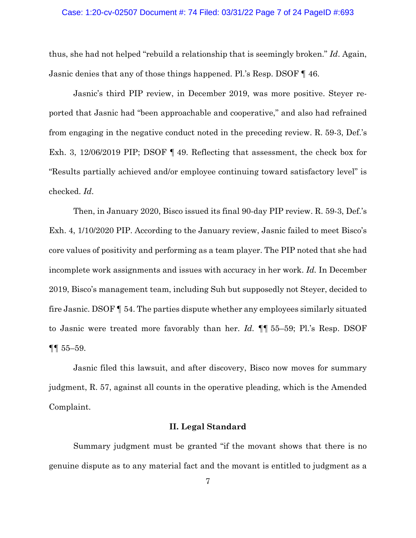#### Case: 1:20-cv-02507 Document #: 74 Filed: 03/31/22 Page 7 of 24 PageID #:693

thus, she had not helped "rebuild a relationship that is seemingly broken." *Id*. Again, Jasnic denies that any of those things happened. Pl.'s Resp. DSOF ¶ 46.

Jasnic's third PIP review, in December 2019, was more positive. Steyer reported that Jasnic had "been approachable and cooperative," and also had refrained from engaging in the negative conduct noted in the preceding review. R. 59-3, Def.'s Exh. 3, 12/06/2019 PIP; DSOF ¶ 49. Reflecting that assessment, the check box for "Results partially achieved and/or employee continuing toward satisfactory level" is checked. *Id*.

Then, in January 2020, Bisco issued its final 90-day PIP review. R. 59-3, Def.'s Exh. 4, 1/10/2020 PIP. According to the January review, Jasnic failed to meet Bisco's core values of positivity and performing as a team player. The PIP noted that she had incomplete work assignments and issues with accuracy in her work. *Id.* In December 2019, Bisco's management team, including Suh but supposedly not Steyer, decided to fire Jasnic. DSOF ¶ 54. The parties dispute whether any employees similarly situated to Jasnic were treated more favorably than her. *Id.* ¶¶ 55–59; Pl.'s Resp. DSOF ¶¶ 55–59.

Jasnic filed this lawsuit, and after discovery, Bisco now moves for summary judgment, R. 57, against all counts in the operative pleading, which is the Amended Complaint.

### **II. Legal Standard**

Summary judgment must be granted "if the movant shows that there is no genuine dispute as to any material fact and the movant is entitled to judgment as a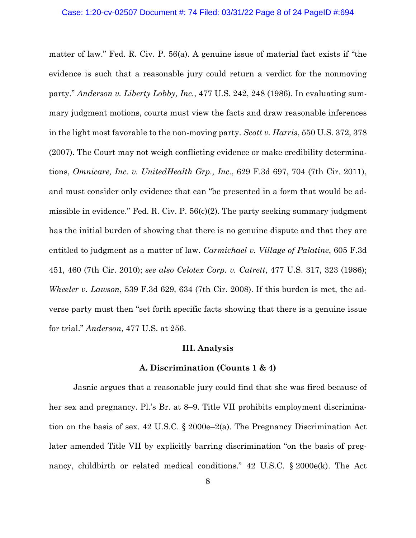matter of law." Fed. R. Civ. P. 56(a). A genuine issue of material fact exists if "the evidence is such that a reasonable jury could return a verdict for the nonmoving party." *Anderson v. Liberty Lobby, Inc.*, 477 U.S. 242, 248 (1986). In evaluating summary judgment motions, courts must view the facts and draw reasonable inferences in the light most favorable to the non-moving party. *Scott v. Harris*, 550 U.S. 372, 378 (2007). The Court may not weigh conflicting evidence or make credibility determinations, *Omnicare, Inc. v. UnitedHealth Grp., Inc.*, 629 F.3d 697, 704 (7th Cir. 2011), and must consider only evidence that can "be presented in a form that would be admissible in evidence." Fed. R. Civ. P. 56(c)(2). The party seeking summary judgment has the initial burden of showing that there is no genuine dispute and that they are entitled to judgment as a matter of law. *Carmichael v. Village of Palatine*, 605 F.3d 451, 460 (7th Cir. 2010); *see also Celotex Corp. v. Catrett*, 477 U.S. 317, 323 (1986); *Wheeler v. Lawson*, 539 F.3d 629, 634 (7th Cir. 2008). If this burden is met, the adverse party must then "set forth specific facts showing that there is a genuine issue for trial." *Anderson*, 477 U.S. at 256.

### **III. Analysis**

#### **A. Discrimination (Counts 1 & 4)**

Jasnic argues that a reasonable jury could find that she was fired because of her sex and pregnancy. Pl.'s Br. at 8–9. Title VII prohibits employment discrimination on the basis of sex. 42 U.S.C. § 2000e–2(a). The Pregnancy Discrimination Act later amended Title VII by explicitly barring discrimination "on the basis of pregnancy, childbirth or related medical conditions." 42 U.S.C. § 2000e(k). The Act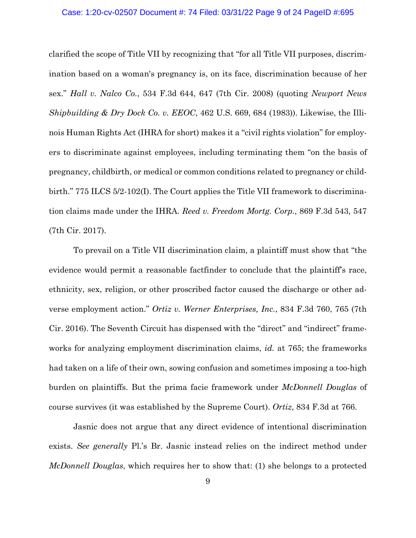#### Case: 1:20-cv-02507 Document #: 74 Filed: 03/31/22 Page 9 of 24 PageID #:695

clarified the scope of Title VII by recognizing that "for all Title VII purposes, discrimination based on a woman's pregnancy is, on its face, discrimination because of her sex." *Hall v. Nalco Co.*, 534 F.3d 644, 647 (7th Cir. 2008) (quoting *Newport News Shipbuilding & Dry Dock Co. v. EEOC*, 462 U.S. 669, 684 (1983)). Likewise, the Illinois Human Rights Act (IHRA for short) makes it a "civil rights violation" for employers to discriminate against employees, including terminating them "on the basis of pregnancy, childbirth, or medical or common conditions related to pregnancy or childbirth." 775 ILCS 5/2-102(I). The Court applies the Title VII framework to discrimination claims made under the IHRA. *Reed v. Freedom Mortg. Corp.*, 869 F.3d 543, 547 (7th Cir. 2017).

 To prevail on a Title VII discrimination claim, a plaintiff must show that "the evidence would permit a reasonable factfinder to conclude that the plaintiff's race, ethnicity, sex, religion, or other proscribed factor caused the discharge or other adverse employment action." *Ortiz v. Werner Enterprises, Inc.*, 834 F.3d 760, 765 (7th Cir. 2016). The Seventh Circuit has dispensed with the "direct" and "indirect" frameworks for analyzing employment discrimination claims, *id.* at 765; the frameworks had taken on a life of their own, sowing confusion and sometimes imposing a too-high burden on plaintiffs. But the prima facie framework under *McDonnell Douglas* of course survives (it was established by the Supreme Court). *Ortiz*, 834 F.3d at 766.

Jasnic does not argue that any direct evidence of intentional discrimination exists. *See generally* Pl.'s Br. Jasnic instead relies on the indirect method under *McDonnell Douglas*, which requires her to show that: (1) she belongs to a protected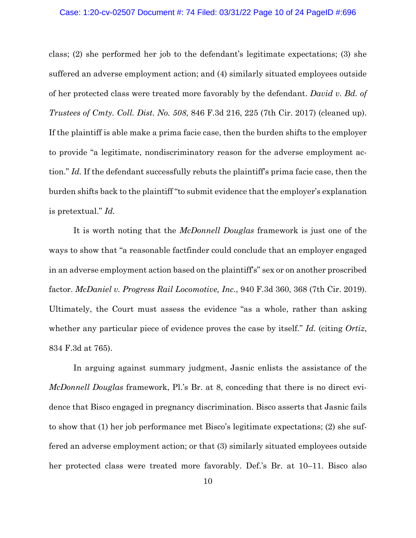#### Case: 1:20-cv-02507 Document #: 74 Filed: 03/31/22 Page 10 of 24 PageID #:696

class; (2) she performed her job to the defendant's legitimate expectations; (3) she suffered an adverse employment action; and (4) similarly situated employees outside of her protected class were treated more favorably by the defendant. *David v. Bd. of Trustees of Cmty. Coll. Dist. No. 508*, 846 F.3d 216, 225 (7th Cir. 2017) (cleaned up). If the plaintiff is able make a prima facie case, then the burden shifts to the employer to provide "a legitimate, nondiscriminatory reason for the adverse employment action." *Id.* If the defendant successfully rebuts the plaintiff's prima facie case, then the burden shifts back to the plaintiff "to submit evidence that the employer's explanation is pretextual." *Id.*

It is worth noting that the *McDonnell Douglas* framework is just one of the ways to show that "a reasonable factfinder could conclude that an employer engaged in an adverse employment action based on the plaintiff's" sex or on another proscribed factor. *McDaniel v. Progress Rail Locomotive, Inc.*, 940 F.3d 360, 368 (7th Cir. 2019). Ultimately, the Court must assess the evidence "as a whole, rather than asking whether any particular piece of evidence proves the case by itself." *Id.* (citing *Ortiz*, 834 F.3d at 765).

In arguing against summary judgment, Jasnic enlists the assistance of the *McDonnell Douglas* framework, Pl.'s Br. at 8, conceding that there is no direct evidence that Bisco engaged in pregnancy discrimination. Bisco asserts that Jasnic fails to show that (1) her job performance met Bisco's legitimate expectations; (2) she suffered an adverse employment action; or that (3) similarly situated employees outside her protected class were treated more favorably. Def.'s Br. at 10–11. Bisco also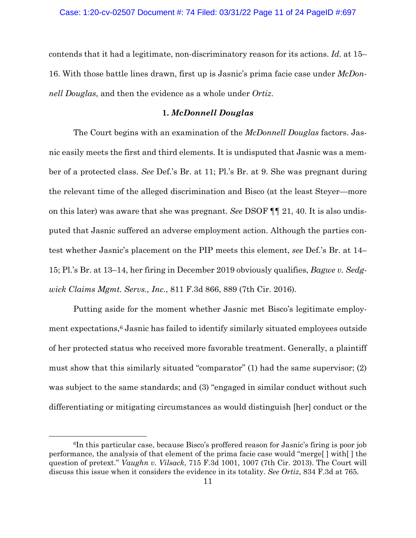contends that it had a legitimate, non-discriminatory reason for its actions. *Id.* at 15– 16. With those battle lines drawn, first up is Jasnic's prima facie case under *McDonnell Douglas*, and then the evidence as a whole under *Ortiz*.

## **1.** *McDonnell Douglas*

The Court begins with an examination of the *McDonnell Douglas* factors. Jasnic easily meets the first and third elements. It is undisputed that Jasnic was a member of a protected class. *See* Def.'s Br. at 11; Pl.'s Br. at 9. She was pregnant during the relevant time of the alleged discrimination and Bisco (at the least Steyer—more on this later) was aware that she was pregnant. *See* DSOF ¶¶ 21, 40. It is also undisputed that Jasnic suffered an adverse employment action. Although the parties contest whether Jasnic's placement on the PIP meets this element, *see* Def.'s Br. at 14– 15; Pl.'s Br. at 13–14, her firing in December 2019 obviously qualifies, *Bagwe v. Sedgwick Claims Mgmt. Servs., Inc.*, 811 F.3d 866, 889 (7th Cir. 2016).

Putting aside for the moment whether Jasnic met Bisco's legitimate employment expectations,<sup>6</sup> Jasnic has failed to identify similarly situated employees outside of her protected status who received more favorable treatment. Generally, a plaintiff must show that this similarly situated "comparator" (1) had the same supervisor; (2) was subject to the same standards; and (3) "engaged in similar conduct without such differentiating or mitigating circumstances as would distinguish [her] conduct or the

<sup>6</sup>In this particular case, because Bisco's proffered reason for Jasnic's firing is poor job performance, the analysis of that element of the prima facie case would "merge[ ] with[ ] the question of pretext." *Vaughn v. Vilsack*, 715 F.3d 1001, 1007 (7th Cir. 2013). The Court will discuss this issue when it considers the evidence in its totality. *See Ortiz*, 834 F.3d at 765.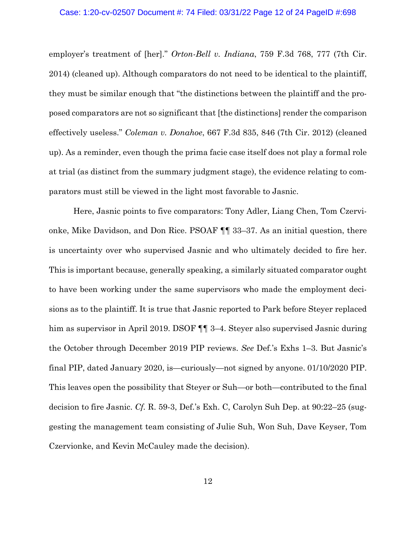#### Case: 1:20-cv-02507 Document #: 74 Filed: 03/31/22 Page 12 of 24 PageID #:698

employer's treatment of [her]." *Orton-Bell v. Indiana*, 759 F.3d 768, 777 (7th Cir. 2014) (cleaned up). Although comparators do not need to be identical to the plaintiff, they must be similar enough that "the distinctions between the plaintiff and the proposed comparators are not so significant that [the distinctions] render the comparison effectively useless." *Coleman v. Donahoe*, 667 F.3d 835, 846 (7th Cir. 2012) (cleaned up). As a reminder, even though the prima facie case itself does not play a formal role at trial (as distinct from the summary judgment stage), the evidence relating to comparators must still be viewed in the light most favorable to Jasnic.

Here, Jasnic points to five comparators: Tony Adler, Liang Chen, Tom Czervionke, Mike Davidson, and Don Rice. PSOAF ¶¶ 33–37. As an initial question, there is uncertainty over who supervised Jasnic and who ultimately decided to fire her. This is important because, generally speaking, a similarly situated comparator ought to have been working under the same supervisors who made the employment decisions as to the plaintiff. It is true that Jasnic reported to Park before Steyer replaced him as supervisor in April 2019. DSOF  $\P$  3–4. Steyer also supervised Jasnic during the October through December 2019 PIP reviews. *See* Def.'s Exhs 1–3. But Jasnic's final PIP, dated January 2020, is—curiously—not signed by anyone. 01/10/2020 PIP. This leaves open the possibility that Steyer or Suh—or both—contributed to the final decision to fire Jasnic. *Cf.* R. 59-3, Def.'s Exh. C, Carolyn Suh Dep. at 90:22–25 (suggesting the management team consisting of Julie Suh, Won Suh, Dave Keyser, Tom Czervionke, and Kevin McCauley made the decision).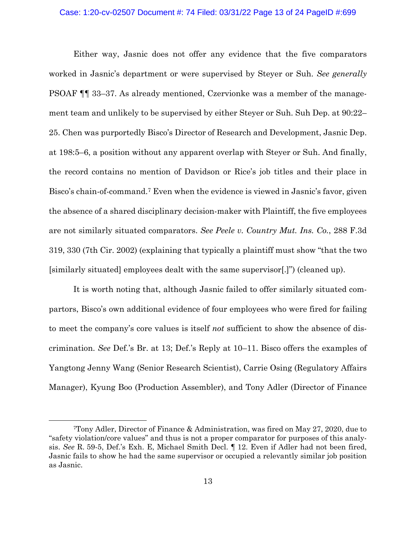#### Case: 1:20-cv-02507 Document #: 74 Filed: 03/31/22 Page 13 of 24 PageID #:699

Either way, Jasnic does not offer any evidence that the five comparators worked in Jasnic's department or were supervised by Steyer or Suh. *See generally* PSOAF ¶¶ 33–37. As already mentioned, Czervionke was a member of the management team and unlikely to be supervised by either Steyer or Suh. Suh Dep. at 90:22– 25. Chen was purportedly Bisco's Director of Research and Development, Jasnic Dep. at 198:5–6, a position without any apparent overlap with Steyer or Suh. And finally, the record contains no mention of Davidson or Rice's job titles and their place in Bisco's chain-of-command.7 Even when the evidence is viewed in Jasnic's favor, given the absence of a shared disciplinary decision-maker with Plaintiff, the five employees are not similarly situated comparators. *See Peele v. Country Mut. Ins. Co.*, 288 F.3d 319, 330 (7th Cir. 2002) (explaining that typically a plaintiff must show "that the two [similarly situated] employees dealt with the same supervisor[.]") (cleaned up).

It is worth noting that, although Jasnic failed to offer similarly situated compartors, Bisco's own additional evidence of four employees who were fired for failing to meet the company's core values is itself *not* sufficient to show the absence of discrimination. *See* Def.'s Br. at 13; Def.'s Reply at 10–11. Bisco offers the examples of Yangtong Jenny Wang (Senior Research Scientist), Carrie Osing (Regulatory Affairs Manager), Kyung Boo (Production Assembler), and Tony Adler (Director of Finance

<sup>7</sup>Tony Adler, Director of Finance & Administration, was fired on May 27, 2020, due to "safety violation/core values" and thus is not a proper comparator for purposes of this analysis. *See* R. 59-5, Def.'s Exh. E, Michael Smith Decl. ¶ 12. Even if Adler had not been fired, Jasnic fails to show he had the same supervisor or occupied a relevantly similar job position as Jasnic.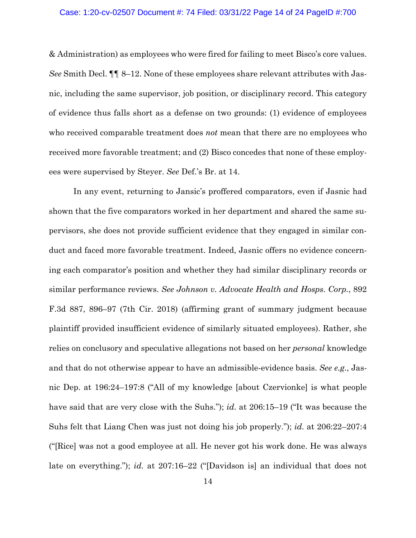#### Case: 1:20-cv-02507 Document #: 74 Filed: 03/31/22 Page 14 of 24 PageID #:700

& Administration) as employees who were fired for failing to meet Bisco's core values. *See* Smith Decl. ¶¶ 8–12. None of these employees share relevant attributes with Jasnic, including the same supervisor, job position, or disciplinary record. This category of evidence thus falls short as a defense on two grounds: (1) evidence of employees who received comparable treatment does *not* mean that there are no employees who received more favorable treatment; and (2) Bisco concedes that none of these employees were supervised by Steyer. *See* Def.'s Br. at 14.

In any event, returning to Jansic's proffered comparators, even if Jasnic had shown that the five comparators worked in her department and shared the same supervisors, she does not provide sufficient evidence that they engaged in similar conduct and faced more favorable treatment. Indeed, Jasnic offers no evidence concerning each comparator's position and whether they had similar disciplinary records or similar performance reviews. *See Johnson v. Advocate Health and Hosps. Corp.*, 892 F.3d 887, 896–97 (7th Cir. 2018) (affirming grant of summary judgment because plaintiff provided insufficient evidence of similarly situated employees). Rather, she relies on conclusory and speculative allegations not based on her *personal* knowledge and that do not otherwise appear to have an admissible-evidence basis. *See e.g.*, Jasnic Dep. at 196:24–197:8 ("All of my knowledge [about Czervionke] is what people have said that are very close with the Suhs."); *id.* at 206:15–19 ("It was because the Suhs felt that Liang Chen was just not doing his job properly."); *id.* at 206:22–207:4 ("[Rice] was not a good employee at all. He never got his work done. He was always late on everything."); *id.* at 207:16–22 ("[Davidson is] an individual that does not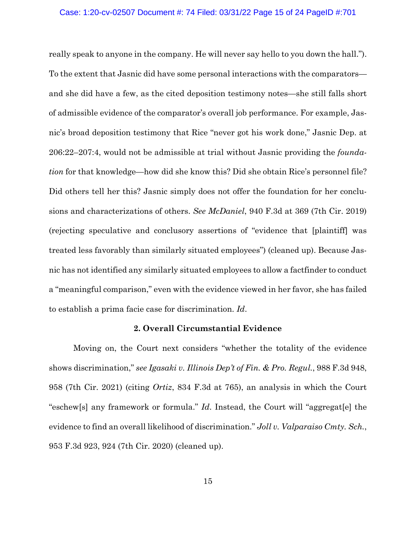#### Case: 1:20-cv-02507 Document #: 74 Filed: 03/31/22 Page 15 of 24 PageID #:701

really speak to anyone in the company. He will never say hello to you down the hall."). To the extent that Jasnic did have some personal interactions with the comparators and she did have a few, as the cited deposition testimony notes—she still falls short of admissible evidence of the comparator's overall job performance. For example, Jasnic's broad deposition testimony that Rice "never got his work done," Jasnic Dep. at 206:22–207:4, would not be admissible at trial without Jasnic providing the *foundation* for that knowledge—how did she know this? Did she obtain Rice's personnel file? Did others tell her this? Jasnic simply does not offer the foundation for her conclusions and characterizations of others. *See McDaniel*, 940 F.3d at 369 (7th Cir. 2019) (rejecting speculative and conclusory assertions of "evidence that [plaintiff] was treated less favorably than similarly situated employees") (cleaned up). Because Jasnic has not identified any similarly situated employees to allow a factfinder to conduct a "meaningful comparison," even with the evidence viewed in her favor, she has failed to establish a prima facie case for discrimination. *Id*.

### **2. Overall Circumstantial Evidence**

 Moving on, the Court next considers "whether the totality of the evidence shows discrimination," *see Igasaki v. Illinois Dep't of Fin. & Pro. Regul.*, 988 F.3d 948, 958 (7th Cir. 2021) (citing *Ortiz*, 834 F.3d at 765), an analysis in which the Court "eschew[s] any framework or formula." *Id*. Instead, the Court will "aggregat[e] the evidence to find an overall likelihood of discrimination." *Joll v. Valparaiso Cmty. Sch.*, 953 F.3d 923, 924 (7th Cir. 2020) (cleaned up).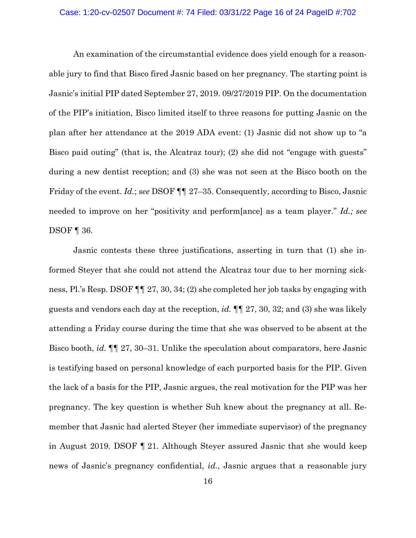#### Case: 1:20-cv-02507 Document #: 74 Filed: 03/31/22 Page 16 of 24 PageID #:702

 An examination of the circumstantial evidence does yield enough for a reasonable jury to find that Bisco fired Jasnic based on her pregnancy. The starting point is Jasnic's initial PIP dated September 27, 2019. 09/27/2019 PIP. On the documentation of the PIP's initiation, Bisco limited itself to three reasons for putting Jasnic on the plan after her attendance at the 2019 ADA event: (1) Jasnic did not show up to "a Bisco paid outing" (that is, the Alcatraz tour); (2) she did not "engage with guests" during a new dentist reception; and (3) she was not seen at the Bisco booth on the Friday of the event. *Id.*; *see* DSOF ¶¶ 27–35. Consequently, according to Bisco, Jasnic needed to improve on her "positivity and perform[ance] as a team player." *Id.; see*  DSOF ¶ 36.

Jasnic contests these three justifications, asserting in turn that (1) she informed Steyer that she could not attend the Alcatraz tour due to her morning sickness, Pl.'s Resp. DSOF ¶¶ 27, 30, 34; (2) she completed her job tasks by engaging with guests and vendors each day at the reception, *id.* ¶¶ 27, 30, 32; and (3) she was likely attending a Friday course during the time that she was observed to be absent at the Bisco booth, *id.* ¶¶ 27, 30–31. Unlike the speculation about comparators, here Jasnic is testifying based on personal knowledge of each purported basis for the PIP. Given the lack of a basis for the PIP, Jasnic argues, the real motivation for the PIP was her pregnancy. The key question is whether Suh knew about the pregnancy at all. Remember that Jasnic had alerted Steyer (her immediate supervisor) of the pregnancy in August 2019. DSOF ¶ 21. Although Steyer assured Jasnic that she would keep news of Jasnic's pregnancy confidential, *id.*, Jasnic argues that a reasonable jury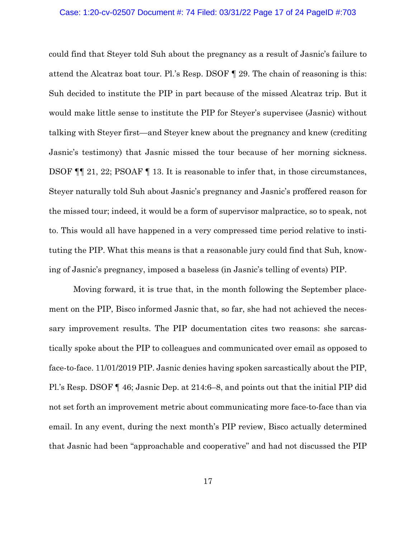#### Case: 1:20-cv-02507 Document #: 74 Filed: 03/31/22 Page 17 of 24 PageID #:703

could find that Steyer told Suh about the pregnancy as a result of Jasnic's failure to attend the Alcatraz boat tour. Pl.'s Resp. DSOF ¶ 29. The chain of reasoning is this: Suh decided to institute the PIP in part because of the missed Alcatraz trip. But it would make little sense to institute the PIP for Steyer's supervisee (Jasnic) without talking with Steyer first—and Steyer knew about the pregnancy and knew (crediting Jasnic's testimony) that Jasnic missed the tour because of her morning sickness. DSOF ¶¶ 21, 22; PSOAF ¶ 13. It is reasonable to infer that, in those circumstances, Steyer naturally told Suh about Jasnic's pregnancy and Jasnic's proffered reason for the missed tour; indeed, it would be a form of supervisor malpractice, so to speak, not to. This would all have happened in a very compressed time period relative to instituting the PIP. What this means is that a reasonable jury could find that Suh, knowing of Jasnic's pregnancy, imposed a baseless (in Jasnic's telling of events) PIP.

 Moving forward, it is true that, in the month following the September placement on the PIP, Bisco informed Jasnic that, so far, she had not achieved the necessary improvement results. The PIP documentation cites two reasons: she sarcastically spoke about the PIP to colleagues and communicated over email as opposed to face-to-face. 11/01/2019 PIP. Jasnic denies having spoken sarcastically about the PIP, Pl.'s Resp. DSOF ¶ 46; Jasnic Dep. at 214:6–8, and points out that the initial PIP did not set forth an improvement metric about communicating more face-to-face than via email. In any event, during the next month's PIP review, Bisco actually determined that Jasnic had been "approachable and cooperative" and had not discussed the PIP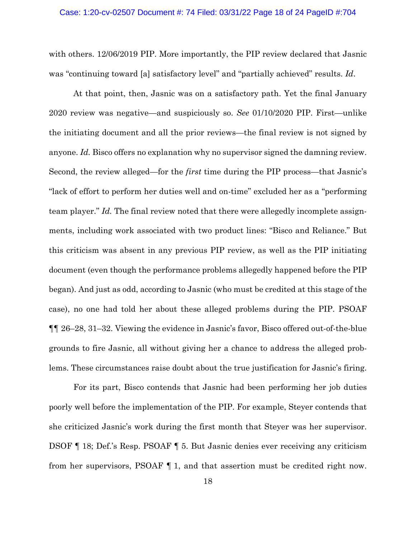#### Case: 1:20-cv-02507 Document #: 74 Filed: 03/31/22 Page 18 of 24 PageID #:704

with others. 12/06/2019 PIP. More importantly, the PIP review declared that Jasnic was "continuing toward [a] satisfactory level" and "partially achieved" results. *Id*.

 At that point, then, Jasnic was on a satisfactory path. Yet the final January 2020 review was negative—and suspiciously so. *See* 01/10/2020 PIP. First—unlike the initiating document and all the prior reviews—the final review is not signed by anyone. *Id.* Bisco offers no explanation why no supervisor signed the damning review. Second, the review alleged—for the *first* time during the PIP process—that Jasnic's "lack of effort to perform her duties well and on-time" excluded her as a "performing team player." *Id.* The final review noted that there were allegedly incomplete assignments, including work associated with two product lines: "Bisco and Reliance." But this criticism was absent in any previous PIP review, as well as the PIP initiating document (even though the performance problems allegedly happened before the PIP began). And just as odd, according to Jasnic (who must be credited at this stage of the case), no one had told her about these alleged problems during the PIP. PSOAF ¶¶ 26–28, 31–32. Viewing the evidence in Jasnic's favor, Bisco offered out-of-the-blue grounds to fire Jasnic, all without giving her a chance to address the alleged problems. These circumstances raise doubt about the true justification for Jasnic's firing.

 For its part, Bisco contends that Jasnic had been performing her job duties poorly well before the implementation of the PIP. For example, Steyer contends that she criticized Jasnic's work during the first month that Steyer was her supervisor. DSOF ¶ 18; Def.'s Resp. PSOAF ¶ 5. But Jasnic denies ever receiving any criticism from her supervisors, PSOAF ¶ 1, and that assertion must be credited right now.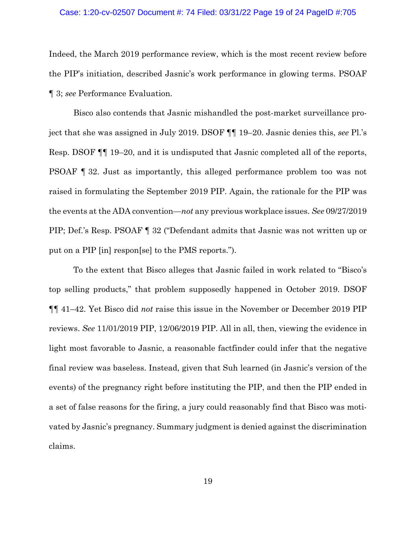#### Case: 1:20-cv-02507 Document #: 74 Filed: 03/31/22 Page 19 of 24 PageID #:705

Indeed, the March 2019 performance review, which is the most recent review before the PIP's initiation, described Jasnic's work performance in glowing terms. PSOAF ¶ 3; *see* Performance Evaluation.

Bisco also contends that Jasnic mishandled the post-market surveillance project that she was assigned in July 2019. DSOF ¶¶ 19–20. Jasnic denies this, *see* Pl.'s Resp. DSOF ¶¶ 19–20, and it is undisputed that Jasnic completed all of the reports, PSOAF ¶ 32. Just as importantly, this alleged performance problem too was not raised in formulating the September 2019 PIP. Again, the rationale for the PIP was the events at the ADA convention—*not* any previous workplace issues. *See* 09/27/2019 PIP; Def.'s Resp. PSOAF ¶ 32 ("Defendant admits that Jasnic was not written up or put on a PIP [in] respon[se] to the PMS reports.").

To the extent that Bisco alleges that Jasnic failed in work related to "Bisco's top selling products," that problem supposedly happened in October 2019. DSOF ¶¶ 41–42. Yet Bisco did *not* raise this issue in the November or December 2019 PIP reviews. *See* 11/01/2019 PIP, 12/06/2019 PIP. All in all, then, viewing the evidence in light most favorable to Jasnic, a reasonable factfinder could infer that the negative final review was baseless. Instead, given that Suh learned (in Jasnic's version of the events) of the pregnancy right before instituting the PIP, and then the PIP ended in a set of false reasons for the firing, a jury could reasonably find that Bisco was motivated by Jasnic's pregnancy. Summary judgment is denied against the discrimination claims.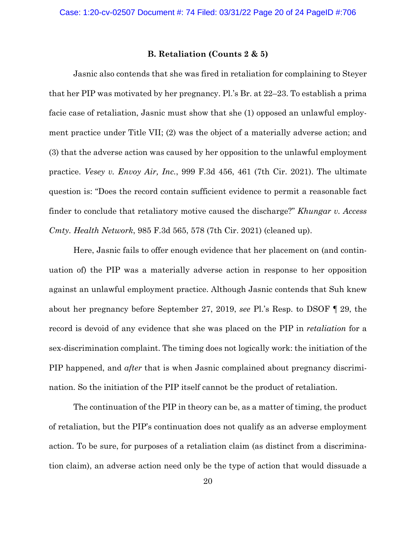### **B. Retaliation (Counts 2 & 5)**

Jasnic also contends that she was fired in retaliation for complaining to Steyer that her PIP was motivated by her pregnancy. Pl.'s Br. at 22–23. To establish a prima facie case of retaliation, Jasnic must show that she (1) opposed an unlawful employment practice under Title VII; (2) was the object of a materially adverse action; and (3) that the adverse action was caused by her opposition to the unlawful employment practice. *Vesey v. Envoy Air, Inc.*, 999 F.3d 456, 461 (7th Cir. 2021). The ultimate question is: "Does the record contain sufficient evidence to permit a reasonable fact finder to conclude that retaliatory motive caused the discharge?" *Khungar v. Access Cmty. Health Network*, 985 F.3d 565, 578 (7th Cir. 2021) (cleaned up).

Here, Jasnic fails to offer enough evidence that her placement on (and continuation of) the PIP was a materially adverse action in response to her opposition against an unlawful employment practice. Although Jasnic contends that Suh knew about her pregnancy before September 27, 2019, *see* Pl.'s Resp. to DSOF ¶ 29, the record is devoid of any evidence that she was placed on the PIP in *retaliation* for a sex-discrimination complaint. The timing does not logically work: the initiation of the PIP happened, and *after* that is when Jasnic complained about pregnancy discrimination. So the initiation of the PIP itself cannot be the product of retaliation.

The continuation of the PIP in theory can be, as a matter of timing, the product of retaliation, but the PIP's continuation does not qualify as an adverse employment action. To be sure, for purposes of a retaliation claim (as distinct from a discrimination claim), an adverse action need only be the type of action that would dissuade a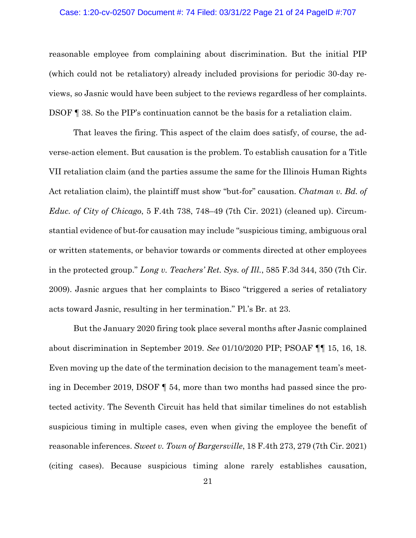#### Case: 1:20-cv-02507 Document #: 74 Filed: 03/31/22 Page 21 of 24 PageID #:707

reasonable employee from complaining about discrimination. But the initial PIP (which could not be retaliatory) already included provisions for periodic 30-day reviews, so Jasnic would have been subject to the reviews regardless of her complaints. DSOF ¶ 38. So the PIP's continuation cannot be the basis for a retaliation claim.

That leaves the firing. This aspect of the claim does satisfy, of course, the adverse-action element. But causation is the problem. To establish causation for a Title VII retaliation claim (and the parties assume the same for the Illinois Human Rights Act retaliation claim), the plaintiff must show "but-for" causation. *Chatman v. Bd. of Educ. of City of Chicago*, 5 F.4th 738, 748–49 (7th Cir. 2021) (cleaned up). Circumstantial evidence of but-for causation may include "suspicious timing, ambiguous oral or written statements, or behavior towards or comments directed at other employees in the protected group." *Long v. Teachers' Ret. Sys. of Ill.*, 585 F.3d 344, 350 (7th Cir. 2009). Jasnic argues that her complaints to Bisco "triggered a series of retaliatory acts toward Jasnic, resulting in her termination." Pl.'s Br. at 23.

But the January 2020 firing took place several months after Jasnic complained about discrimination in September 2019. *See* 01/10/2020 PIP; PSOAF ¶¶ 15, 16, 18. Even moving up the date of the termination decision to the management team's meeting in December 2019, DSOF ¶ 54, more than two months had passed since the protected activity. The Seventh Circuit has held that similar timelines do not establish suspicious timing in multiple cases, even when giving the employee the benefit of reasonable inferences. *Sweet v. Town of Bargersville*, 18 F.4th 273, 279 (7th Cir. 2021) (citing cases). Because suspicious timing alone rarely establishes causation,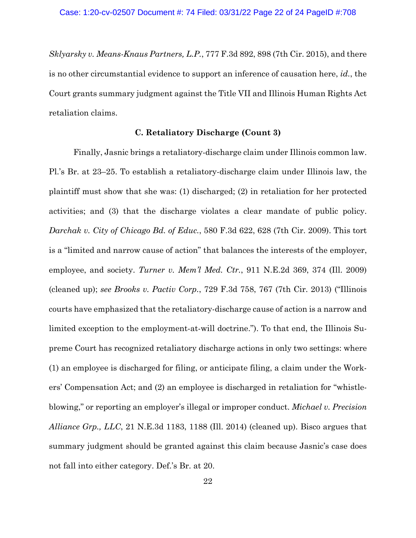*Sklyarsky v. Means-Knaus Partners, L.P.*, 777 F.3d 892, 898 (7th Cir. 2015), and there is no other circumstantial evidence to support an inference of causation here, *id.*, the Court grants summary judgment against the Title VII and Illinois Human Rights Act retaliation claims.

### **C. Retaliatory Discharge (Count 3)**

Finally, Jasnic brings a retaliatory-discharge claim under Illinois common law. Pl.'s Br. at 23–25. To establish a retaliatory-discharge claim under Illinois law, the plaintiff must show that she was: (1) discharged; (2) in retaliation for her protected activities; and (3) that the discharge violates a clear mandate of public policy. *Darchak v. City of Chicago Bd. of Educ.*, 580 F.3d 622, 628 (7th Cir. 2009). This tort is a "limited and narrow cause of action" that balances the interests of the employer, employee, and society. *Turner v. Mem'l Med. Ctr.*, 911 N.E.2d 369, 374 (Ill. 2009) (cleaned up); *see Brooks v. Pactiv Corp.*, 729 F.3d 758, 767 (7th Cir. 2013) ("Illinois courts have emphasized that the retaliatory-discharge cause of action is a narrow and limited exception to the employment-at-will doctrine."). To that end, the Illinois Supreme Court has recognized retaliatory discharge actions in only two settings: where (1) an employee is discharged for filing, or anticipate filing, a claim under the Workers' Compensation Act; and (2) an employee is discharged in retaliation for "whistleblowing," or reporting an employer's illegal or improper conduct. *Michael v. Precision Alliance Grp., LLC*, 21 N.E.3d 1183, 1188 (Ill. 2014) (cleaned up). Bisco argues that summary judgment should be granted against this claim because Jasnic's case does not fall into either category. Def.'s Br. at 20.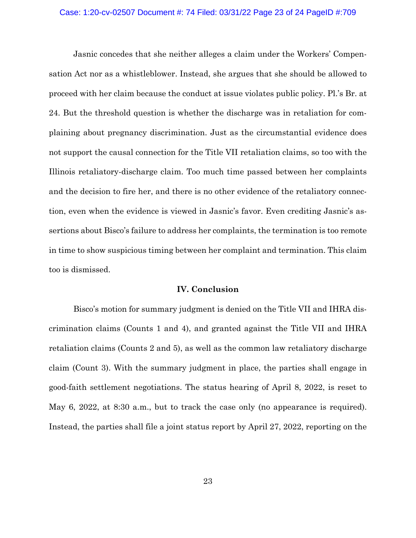#### Case: 1:20-cv-02507 Document #: 74 Filed: 03/31/22 Page 23 of 24 PageID #:709

Jasnic concedes that she neither alleges a claim under the Workers' Compensation Act nor as a whistleblower. Instead, she argues that she should be allowed to proceed with her claim because the conduct at issue violates public policy. Pl.'s Br. at 24. But the threshold question is whether the discharge was in retaliation for complaining about pregnancy discrimination. Just as the circumstantial evidence does not support the causal connection for the Title VII retaliation claims, so too with the Illinois retaliatory-discharge claim. Too much time passed between her complaints and the decision to fire her, and there is no other evidence of the retaliatory connection, even when the evidence is viewed in Jasnic's favor. Even crediting Jasnic's assertions about Bisco's failure to address her complaints, the termination is too remote in time to show suspicious timing between her complaint and termination. This claim too is dismissed.

## **IV. Conclusion**

Bisco's motion for summary judgment is denied on the Title VII and IHRA discrimination claims (Counts 1 and 4), and granted against the Title VII and IHRA retaliation claims (Counts 2 and 5), as well as the common law retaliatory discharge claim (Count 3). With the summary judgment in place, the parties shall engage in good-faith settlement negotiations. The status hearing of April 8, 2022, is reset to May 6, 2022, at 8:30 a.m., but to track the case only (no appearance is required). Instead, the parties shall file a joint status report by April 27, 2022, reporting on the